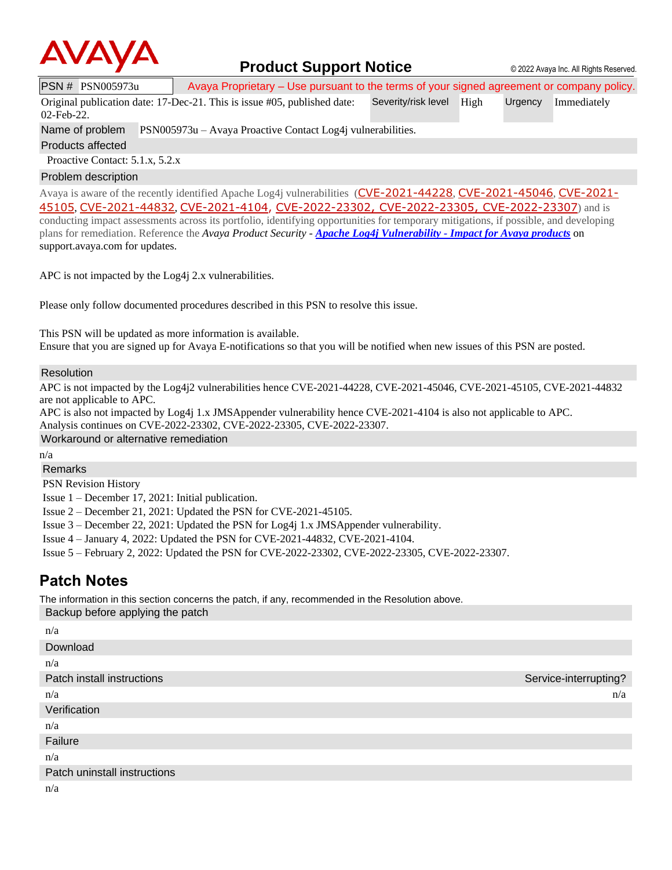

### **Product Support Notice** © 2022 Avaya Inc. All Rights Reserved.

PSN # PSN005973u Avaya Proprietary – Use pursuant to the terms of your signed agreement or company policy.

Original publication date: 17-Dec-21. This is issue #05, published date: 02-Feb-22. Severity/risk level High Urgency Immediately

Name of problem PSN005973u – Avaya Proactive Contact Log4j vulnerabilities.

Products affected

Proactive Contact: 5.1.x, 5.2.x

#### Problem description

Avaya is aware of the recently identified Apache Log4j vulnerabilities ([CVE-2021-44228](https://cve.mitre.org/cgi-bin/cvename.cgi?name=CVE-2021-44228), [CVE-2021-45046](https://cve.mitre.org/cgi-bin/cvename.cgi?name=CVE-2021-45046), [CVE-2021-](https://cve.mitre.org/cgi-bin/cvename.cgi?name=CVE-2021-45105) [45105](https://cve.mitre.org/cgi-bin/cvename.cgi?name=CVE-2021-45105), [CVE-2021-44832](https://cve.mitre.org/cgi-bin/cvename.cgi?name=CVE-2021-44832), [CVE-2021-4104,](https://cve.mitre.org/cgi-bin/cvename.cgi?name=CVE-2021-4104) [CVE-2022-23302](https://www.cvedetails.com/cve/CVE-2022-23302/), [CVE-2022-23305](https://www.cvedetails.com/cve/CVE-2022-23305/), [CVE-2022-23307](https://www.cvedetails.com/cve/CVE-2022-23307/)) and is conducting impact assessments across its portfolio, identifying opportunities for temporary mitigations, if possible, and developing plans for remediation. Reference the *Avaya Product Security - Apache Log4j Vulnerability - [Impact for Avaya products](http://www.avaya.com/emergencyupdate)* on support.avaya.com for updates.

APC is not impacted by the Log4j 2.x vulnerabilities.

Please only follow documented procedures described in this PSN to resolve this issue.

This PSN will be updated as more information is available.

Ensure that you are signed up for Avaya E-notifications so that you will be notified when new issues of this PSN are posted.

#### Resolution

APC is not impacted by the Log4j2 vulnerabilities hence CVE-2021-44228, CVE-2021-45046, CVE-2021-45105, CVE-2021-44832 are not applicable to APC.

APC is also not impacted by Log4j 1.x JMSAppender vulnerability hence CVE-2021-4104 is also not applicable to APC.

Analysis continues on CVE-2022-23302, CVE-2022-23305, CVE-2022-23307.

Workaround or alternative remediation

n/a

Remarks

PSN Revision History

Issue 1 – December 17, 2021: Initial publication.

Issue 2 – December 21, 2021: Updated the PSN for CVE-2021-45105.

Issue 3 – December 22, 2021: Updated the PSN for Log4j 1.x JMSAppender vulnerability.

Issue 4 – January 4, 2022: Updated the PSN for CVE-2021-44832, CVE-2021-4104.

Issue 5 – February 2, 2022: Updated the PSN for CVE-2022-23302, CVE-2022-23305, CVE-2022-23307.

## **Patch Notes**

The information in this section concerns the patch, if any, recommended in the Resolution above. Backup before applying the patch

| n/a                          |                       |
|------------------------------|-----------------------|
| Download                     |                       |
| n/a                          |                       |
| Patch install instructions   | Service-interrupting? |
| n/a                          | n/a                   |
| Verification                 |                       |
| n/a                          |                       |
| Failure                      |                       |
| n/a                          |                       |
| Patch uninstall instructions |                       |
| n/a                          |                       |